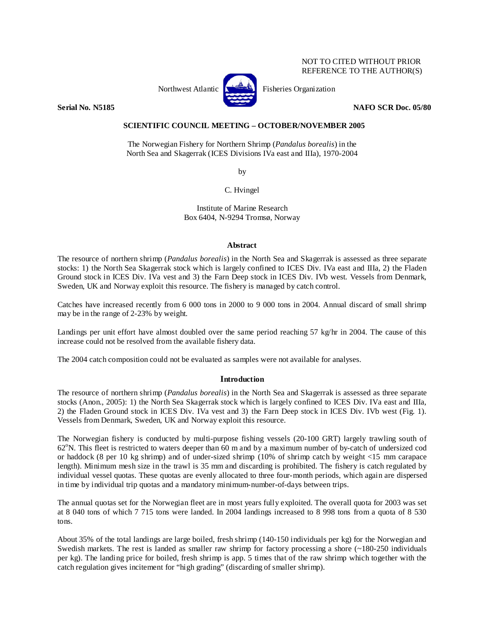## NOT TO CITED WITHOUT PRIOR REFERENCE TO THE AUTHOR(S)



Northwest Atlantic **No. 3. Expansion** Fisheries Organization

**Serial No. N5185** NAFO SCR Doc. 05/80 **NAFO** SCR Doc. 05/80

# **SCIENTIFIC COUNCIL MEETING – OCTOBER/NOVEMBER 2005**

The Norwegian Fishery for Northern Shrimp (*Pandalus borealis*) in the North Sea and Skagerrak (ICES Divisions IVa east and IIIa), 1970-2004

by

C. Hvingel

Institute of Marine Research Box 6404, N-9294 Tromsø, Norway

### **Abstract**

The resource of northern shrimp (*Pandalus borealis*) in the North Sea and Skagerrak is assessed as three separate stocks: 1) the North Sea Skagerrak stock which is largely confined to ICES Div. IVa east and IIIa, 2) the Fladen Ground stock in ICES Div. IVa vest and 3) the Farn Deep stock in ICES Div. IVb west. Vessels from Denmark, Sweden, UK and Norway exploit this resource. The fishery is managed by catch control.

Catches have increased recently from 6 000 tons in 2000 to 9 000 tons in 2004. Annual discard of small shrimp may be in the range of 2-23% by weight.

Landings per unit effort have almost doubled over the same period reaching 57 kg/hr in 2004. The cause of this increase could not be resolved from the available fishery data.

The 2004 catch composition could not be evaluated as samples were not available for analyses.

# **Introduction**

The resource of northern shrimp (*Pandalus borealis*) in the North Sea and Skagerrak is assessed as three separate stocks (Anon., 2005): 1) the North Sea Skagerrak stock which is largely confined to ICES Div. IVa east and IIIa, 2) the Fladen Ground stock in ICES Div. IVa vest and 3) the Farn Deep stock in ICES Div. IVb west (Fig. 1). Vessels from Denmark, Sweden, UK and Norway exploit this resource.

The Norwegian fishery is conducted by multi-purpose fishing vessels (20-100 GRT) largely trawling south of 62°N. This fleet is restricted to waters deeper than 60 m and by a maximum number of by-catch of undersized cod or haddock (8 per 10 kg shrimp) and of under-sized shrimp (10% of shrimp catch by weight <15 mm carapace length). Minimum mesh size in the trawl is 35 mm and discarding is prohibited. The fishery is catch regulated by individual vessel quotas. These quotas are evenly allocated to three four-month periods, which again are dispersed in time by individual trip quotas and a mandatory minimum-number-of-days between trips.

The annual quotas set for the Norwegian fleet are in most years fully exploited. The overall quota for 2003 was set at 8 040 tons of which 7 715 tons were landed. In 2004 landings increased to 8 998 tons from a quota of 8 530 tons.

About 35% of the total landings are large boiled, fresh shrimp (140-150 individuals per kg) for the Norwegian and Swedish markets. The rest is landed as smaller raw shrimp for factory processing a shore (~180-250 individuals per kg). The landing price for boiled, fresh shrimp is app. 5 times that of the raw shrimp which together with the catch regulation gives incitement for "high grading" (discarding of smaller shrimp).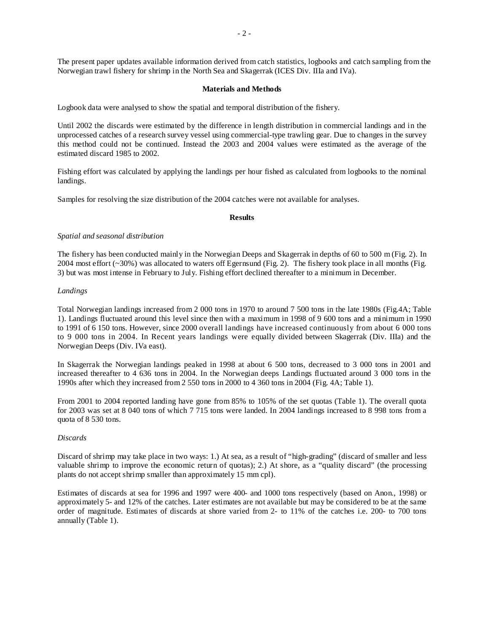The present paper updates available information derived from catch statistics, logbooks and catch sampling from the Norwegian trawl fishery for shrimp in the North Sea and Skagerrak (ICES Div. IIIa and IVa).

### **Materials and Methods**

Logbook data were analysed to show the spatial and temporal distribution of the fishery.

Until 2002 the discards were estimated by the difference in length distribution in commercial landings and in the unprocessed catches of a research survey vessel using commercial-type trawling gear. Due to changes in the survey this method could not be continued. Instead the 2003 and 2004 values were estimated as the average of the estimated discard 1985 to 2002.

Fishing effort was calculated by applying the landings per hour fished as calculated from logbooks to the nominal landings.

Samples for resolving the size distribution of the 2004 catches were not available for analyses.

#### **Results**

### *Spatial and seasonal distribution*

The fishery has been conducted mainly in the Norwegian Deeps and Skagerrak in depths of 60 to 500 m (Fig. 2). In 2004 most effort (~30%) was allocated to waters off Egernsund (Fig. 2). The fishery took place in all months (Fig. 3) but was most intense in February to July. Fishing effort declined thereafter to a minimum in December.

#### *Landings*

Total Norwegian landings increased from 2 000 tons in 1970 to around 7 500 tons in the late 1980s (Fig.4A; Table 1). Landings fluctuated around this level since then with a maximum in 1998 of 9 600 tons and a minimum in 1990 to 1991 of 6 150 tons. However, since 2000 overall landings have increased continuously from about 6 000 tons to 9 000 tons in 2004. In Recent years landings were equally divided between Skagerrak (Div. IIIa) and the Norwegian Deeps (Div. IVa east).

In Skagerrak the Norwegian landings peaked in 1998 at about 6 500 tons, decreased to 3 000 tons in 2001 and increased thereafter to 4 636 tons in 2004. In the Norwegian deeps Landings fluctuated around 3 000 tons in the 1990s after which they increased from 2 550 tons in 2000 to 4 360 tons in 2004 (Fig. 4A; Table 1).

From 2001 to 2004 reported landing have gone from 85% to 105% of the set quotas (Table 1). The overall quota for 2003 was set at 8 040 tons of which 7 715 tons were landed. In 2004 landings increased to 8 998 tons from a quota of 8 530 tons.

#### *Discards*

Discard of shrimp may take place in two ways: 1.) At sea, as a result of "high-grading" (discard of smaller and less valuable shrimp to improve the economic return of quotas); 2.) At shore, as a "quality discard" (the processing plants do not accept shrimp smaller than approximately 15 mm cpl).

Estimates of discards at sea for 1996 and 1997 were 400- and 1000 tons respectively (based on Anon., 1998) or approximately 5- and 12% of the catches. Later estimates are not available but may be considered to be at the same order of magnitude. Estimates of discards at shore varied from 2- to 11% of the catches i.e. 200- to 700 tons annually (Table 1).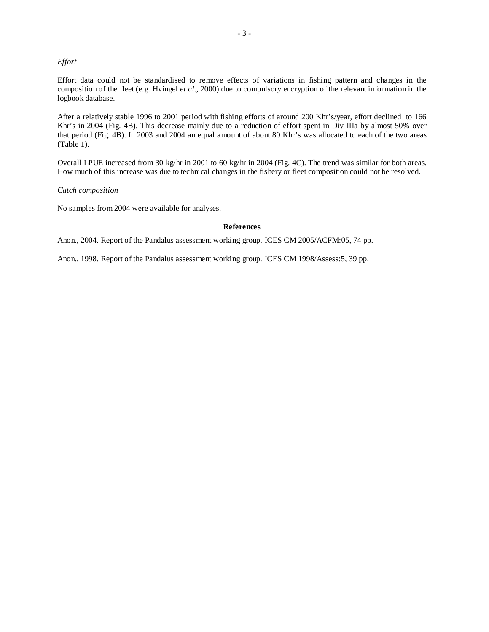### *Effort*

Effort data could not be standardised to remove effects of variations in fishing pattern and changes in the composition of the fleet (e.g. Hvingel *et al*., 2000) due to compulsory encryption of the relevant information in the logbook database.

After a relatively stable 1996 to 2001 period with fishing efforts of around 200 Khr's/year, effort declined to 166 Khr's in 2004 (Fig. 4B). This decrease mainly due to a reduction of effort spent in Div IIIa by almost 50% over that period (Fig. 4B). In 2003 and 2004 an equal amount of about 80 Khr's was allocated to each of the two areas (Table 1).

Overall LPUE increased from 30 kg/hr in 2001 to 60 kg/hr in 2004 (Fig. 4C). The trend was similar for both areas. How much of this increase was due to technical changes in the fishery or fleet composition could not be resolved.

*Catch composition* 

No samples from 2004 were available for analyses.

#### **References**

Anon., 2004. Report of the Pandalus assessment working group. ICES CM 2005/ACFM:05, 74 pp.

Anon., 1998. Report of the Pandalus assessment working group. ICES CM 1998/Assess:5, 39 pp.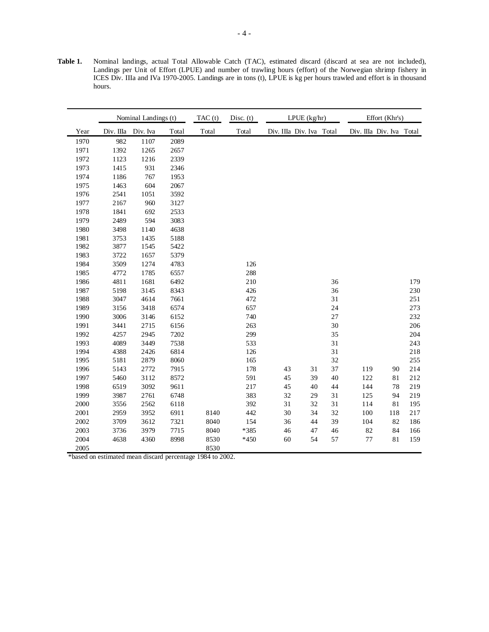**Table 1.** Nominal landings, actual Total Allowable Catch (TAC), estimated discard (discard at sea are not included), Landings per Unit of Effort (LPUE) and number of trawling hours (effort) of the Norwegian shrimp fishery in ICES Div. IIIa and IVa 1970-2005. Landings are in tons (t), LPUE is kg per hours trawled and effort is in thousand hours.

|      | Nominal Landings (t) |                    |       | TAC (t) | Disc. $(t)$ | LPUE (kg/hr) |                          |    |     | Effort (Khr's)           |     |  |
|------|----------------------|--------------------|-------|---------|-------------|--------------|--------------------------|----|-----|--------------------------|-----|--|
| Year |                      | Div. IIIa Div. Iva | Total | Total   | Total       |              | Div. IIIa Div. Iva Total |    |     | Div. IIIa Div. Iva Total |     |  |
| 1970 | 982                  | 1107               | 2089  |         |             |              |                          |    |     |                          |     |  |
| 1971 | 1392                 | 1265               | 2657  |         |             |              |                          |    |     |                          |     |  |
| 1972 | 1123                 | 1216               | 2339  |         |             |              |                          |    |     |                          |     |  |
| 1973 | 1415                 | 931                | 2346  |         |             |              |                          |    |     |                          |     |  |
| 1974 | 1186                 | 767                | 1953  |         |             |              |                          |    |     |                          |     |  |
| 1975 | 1463                 | 604                | 2067  |         |             |              |                          |    |     |                          |     |  |
| 1976 | 2541                 | 1051               | 3592  |         |             |              |                          |    |     |                          |     |  |
| 1977 | 2167                 | 960                | 3127  |         |             |              |                          |    |     |                          |     |  |
| 1978 | 1841                 | 692                | 2533  |         |             |              |                          |    |     |                          |     |  |
| 1979 | 2489                 | 594                | 3083  |         |             |              |                          |    |     |                          |     |  |
| 1980 | 3498                 | 1140               | 4638  |         |             |              |                          |    |     |                          |     |  |
| 1981 | 3753                 | 1435               | 5188  |         |             |              |                          |    |     |                          |     |  |
| 1982 | 3877                 | 1545               | 5422  |         |             |              |                          |    |     |                          |     |  |
| 1983 | 3722                 | 1657               | 5379  |         |             |              |                          |    |     |                          |     |  |
| 1984 | 3509                 | 1274               | 4783  |         | 126         |              |                          |    |     |                          |     |  |
| 1985 | 4772                 | 1785               | 6557  |         | 288         |              |                          |    |     |                          |     |  |
| 1986 | 4811                 | 1681               | 6492  |         | 210         |              |                          | 36 |     |                          | 179 |  |
| 1987 | 5198                 | 3145               | 8343  |         | 426         |              |                          | 36 |     |                          | 230 |  |
| 1988 | 3047                 | 4614               | 7661  |         | 472         |              |                          | 31 |     |                          | 251 |  |
| 1989 | 3156                 | 3418               | 6574  |         | 657         |              |                          | 24 |     |                          | 273 |  |
| 1990 | 3006                 | 3146               | 6152  |         | 740         |              |                          | 27 |     |                          | 232 |  |
| 1991 | 3441                 | 2715               | 6156  |         | 263         |              |                          | 30 |     |                          | 206 |  |
| 1992 | 4257                 | 2945               | 7202  |         | 299         |              |                          | 35 |     |                          | 204 |  |
| 1993 | 4089                 | 3449               | 7538  |         | 533         |              |                          | 31 |     |                          | 243 |  |
| 1994 | 4388                 | 2426               | 6814  |         | 126         |              |                          | 31 |     |                          | 218 |  |
| 1995 | 5181                 | 2879               | 8060  |         | 165         |              |                          | 32 |     |                          | 255 |  |
| 1996 | 5143                 | 2772               | 7915  |         | 178         | 43           | 31                       | 37 | 119 | 90                       | 214 |  |
| 1997 | 5460                 | 3112               | 8572  |         | 591         | 45           | 39                       | 40 | 122 | 81                       | 212 |  |
| 1998 | 6519                 | 3092               | 9611  |         | 217         | 45           | 40                       | 44 | 144 | 78                       | 219 |  |
| 1999 | 3987                 | 2761               | 6748  |         | 383         | 32           | 29                       | 31 | 125 | 94                       | 219 |  |
| 2000 | 3556                 | 2562               | 6118  |         | 392         | 31           | 32                       | 31 | 114 | 81                       | 195 |  |
| 2001 | 2959                 | 3952               | 6911  | 8140    | 442         | 30           | 34                       | 32 | 100 | 118                      | 217 |  |
| 2002 | 3709                 | 3612               | 7321  | 8040    | 154         | 36           | 44                       | 39 | 104 | 82                       | 186 |  |
| 2003 | 3736                 | 3979               | 7715  | 8040    | *385        | 46           | 47                       | 46 | 82  | 84                       | 166 |  |
| 2004 | 4638                 | 4360               | 8998  | 8530    | $*450$      | 60           | 54                       | 57 | 77  | 81                       | 159 |  |
| 2005 |                      |                    |       | 8530    |             |              |                          |    |     |                          |     |  |

\*based on estimated mean discard percentage 1984 to 2002.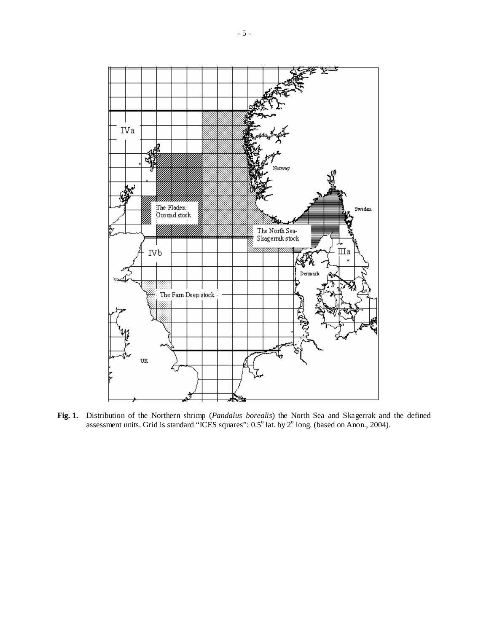

**Fig. 1.** Distribution of the Northern shrimp (*Pandalus borealis*) the North Sea and Skagerrak and the defined assessment units. Grid is standard "ICES squares":  $0.5^{\circ}$  lat. by  $2^{\circ}$  long. (based on Anon., 2004).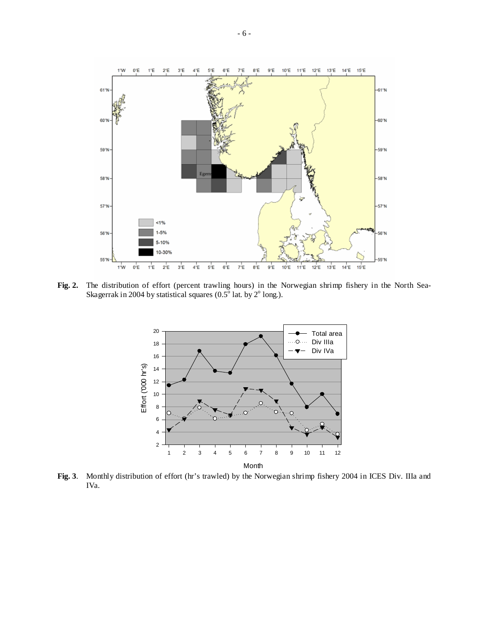

**Fig. 2.** The distribution of effort (percent trawling hours) in the Norwegian shrimp fishery in the North Sea-Skagerrak in 2004 by statistical squares  $(0.5^{\circ})$  lat. by  $2^{\circ}$  long.).



**Fig. 3**. Monthly distribution of effort (hr's trawled) by the Norwegian shrimp fishery 2004 in ICES Div. IIIa and IVa.